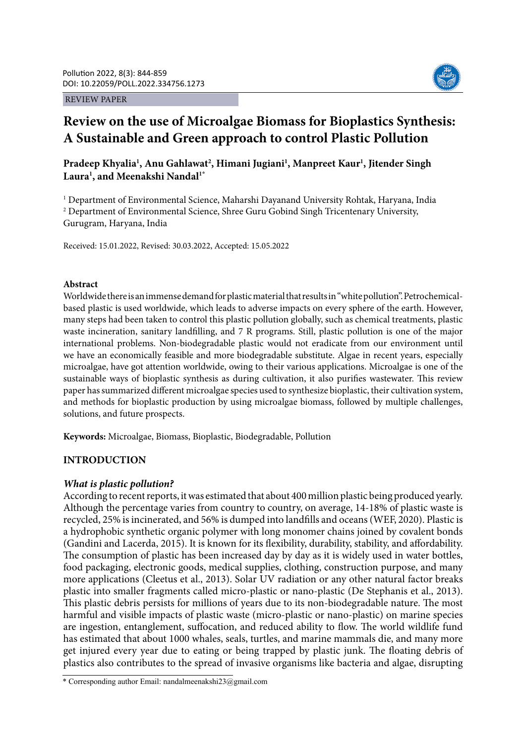REVIEW PAPER



# **Review on the use of Microalgae Biomass for Bioplastics Synthesis: A Sustainable and Green approach to control Plastic Pollution**

## Pradeep Khyalia<sup>1</sup>, Anu Gahlawat<sup>2</sup>, Himani Jugiani<sup>1</sup>, Manpreet Kaur<sup>1</sup>, Jitender Singh **Laura1 , and Meenakshi Nandal1\***

<sup>1</sup> Department of Environmental Science, Maharshi Dayanand University Rohtak, Haryana, India <sup>2</sup> Department of Environmental Science, Shree Guru Gobind Singh Tricentenary University, Gurugram, Haryana, India

Received: 15.01.2022, Revised: 30.03.2022, Accepted: 15.05.2022

## **Abstract**

Worldwide there is an immense demand for plastic material that results in "white pollution". Petrochemicalbased plastic is used worldwide, which leads to adverse impacts on every sphere of the earth. However, many steps had been taken to control this plastic pollution globally, such as chemical treatments, plastic waste incineration, sanitary landfilling, and 7 R programs. Still, plastic pollution is one of the major international problems. Non-biodegradable plastic would not eradicate from our environment until we have an economically feasible and more biodegradable substitute. Algae in recent years, especially microalgae, have got attention worldwide, owing to their various applications. Microalgae is one of the sustainable ways of bioplastic synthesis as during cultivation, it also purifies wastewater. This review paper has summarized different microalgae species used to synthesize bioplastic, their cultivation system, and methods for bioplastic production by using microalgae biomass, followed by multiple challenges, solutions, and future prospects.

**Keywords:** Microalgae, Biomass, Bioplastic, Biodegradable, Pollution

## **INTRODUCTION**

## *What is plastic pollution?*

According to recent reports, it was estimated that about 400 million plastic being produced yearly. Although the percentage varies from country to country, on average, 14-18% of plastic waste is recycled, 25% is incinerated, and 56% is dumped into landfills and oceans (WEF, 2020). Plastic is a hydrophobic synthetic organic polymer with long monomer chains joined by covalent bonds (Gandini and Lacerda, 2015). It is known for its flexibility, durability, stability, and affordability. The consumption of plastic has been increased day by day as it is widely used in water bottles, food packaging, electronic goods, medical supplies, clothing, construction purpose, and many more applications (Cleetus et al., 2013). Solar UV radiation or any other natural factor breaks plastic into smaller fragments called micro-plastic or nano-plastic (De Stephanis et al., 2013). This plastic debris persists for millions of years due to its non-biodegradable nature. The most harmful and visible impacts of plastic waste (micro-plastic or nano-plastic) on marine species are ingestion, entanglement, suffocation, and reduced ability to flow. The world wildlife fund has estimated that about 1000 whales, seals, turtles, and marine mammals die, and many more get injured every year due to eating or being trapped by plastic junk. The floating debris of plastics also contributes to the spread of invasive organisms like bacteria and algae, disrupting

<sup>\*</sup> Corresponding author Email: nandalmeenakshi23@gmail.com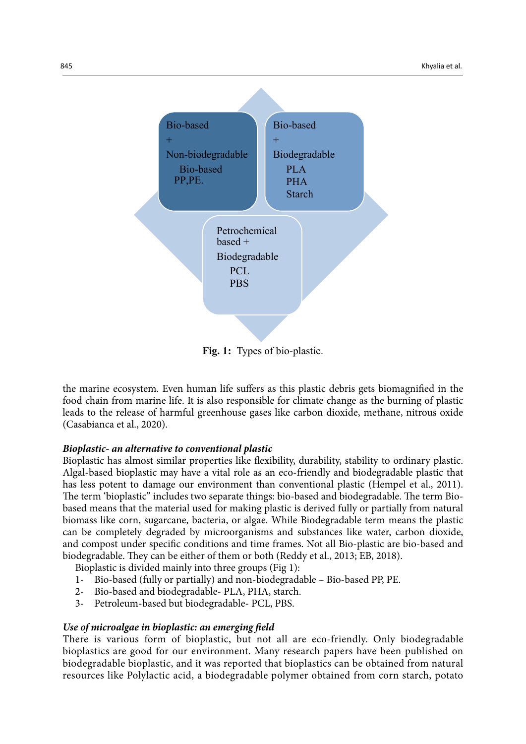

**Fig. 1:** Types of bio-plastic.

the marine ecosystem. Even human life suffers as this plastic debris gets biomagnified in the food chain from marine life. It is also responsible for climate change as the burning of plastic leads to the release of harmful greenhouse gases like carbon dioxide, methane, nitrous oxide (Casabianca et al., 2020).

## *Bioplastic- an alternative to conventional plastic*

Bioplastic has almost similar properties like flexibility, durability, stability to ordinary plastic. Algal-based bioplastic may have a vital role as an eco-friendly and biodegradable plastic that has less potent to damage our environment than conventional plastic (Hempel et al., 2011). The term 'bioplastic" includes two separate things: bio-based and biodegradable. The term Biobased means that the material used for making plastic is derived fully or partially from natural biomass like corn, sugarcane, bacteria, or algae. While Biodegradable term means the plastic can be completely degraded by microorganisms and substances like water, carbon dioxide, and compost under specific conditions and time frames. Not all Bio-plastic are bio-based and biodegradable. They can be either of them or both (Reddy et al., 2013; EB, 2018).

Bioplastic is divided mainly into three groups (Fig 1):

- 1- Bio-based (fully or partially) and non-biodegradable Bio-based PP, PE.
- 2- Bio-based and biodegradable- PLA, PHA, starch.
- 3- Petroleum-based but biodegradable- PCL, PBS.

## *Use of microalgae in bioplastic: an emerging field*

There is various form of bioplastic, but not all are eco-friendly. Only biodegradable bioplastics are good for our environment. Many research papers have been published on biodegradable bioplastic, and it was reported that bioplastics can be obtained from natural resources like Polylactic acid, a biodegradable polymer obtained from corn starch, potato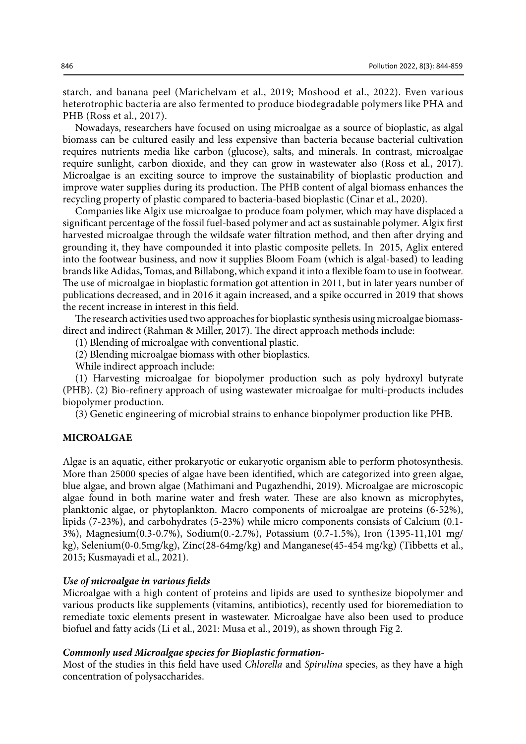starch, and banana peel (Marichelvam et al., 2019; Moshood et al., 2022). Even various heterotrophic bacteria are also fermented to produce biodegradable polymers like PHA and PHB (Ross et al., 2017).

Nowadays, researchers have focused on using microalgae as a source of bioplastic, as algal biomass can be cultured easily and less expensive than bacteria because bacterial cultivation requires nutrients media like carbon (glucose), salts, and minerals. In contrast, microalgae require sunlight, carbon dioxide, and they can grow in wastewater also (Ross et al., 2017). Microalgae is an exciting source to improve the sustainability of bioplastic production and improve water supplies during its production. The PHB content of algal biomass enhances the recycling property of plastic compared to bacteria-based bioplastic (Cinar et al., 2020).

Companies like Algix use microalgae to produce foam polymer, which may have displaced a significant percentage of the fossil fuel-based polymer and act as sustainable polymer. Algix first harvested microalgae through the wildsafe water filtration method, and then after drying and grounding it, they have compounded it into plastic composite pellets. In 2015, Aglix entered into the footwear business, and now it supplies Bloom Foam (which is algal-based) to leading brands like Adidas, Tomas, and Billabong, which expand it into a flexible foam to use in footwear. The use of microalgae in bioplastic formation got attention in 2011, but in later years number of publications decreased, and in 2016 it again increased, and a spike occurred in 2019 that shows the recent increase in interest in this field.

The research activities used two approaches for bioplastic synthesis using microalgae biomassdirect and indirect (Rahman & Miller, 2017). The direct approach methods include:

(1) Blending of microalgae with conventional plastic.

(2) Blending microalgae biomass with other bioplastics.

While indirect approach include:

(1) Harvesting microalgae for biopolymer production such as poly hydroxyl butyrate (PHB). (2) Bio-refinery approach of using wastewater microalgae for multi-products includes biopolymer production.

(3) Genetic engineering of microbial strains to enhance biopolymer production like PHB.

#### **MICROALGAE**

Algae is an aquatic, either prokaryotic or eukaryotic organism able to perform photosynthesis. More than 25000 species of algae have been identified, which are categorized into green algae, blue algae, and brown algae (Mathimani and Pugazhendhi, 2019). Microalgae are microscopic algae found in both marine water and fresh water. These are also known as microphytes, planktonic algae, or phytoplankton. Macro components of microalgae are proteins (6-52%), lipids (7-23%), and carbohydrates (5-23%) while micro components consists of Calcium (0.1- 3%), Magnesium(0.3-0.7%), Sodium(0.-2.7%), Potassium (0.7-1.5%), Iron (1395-11,101 mg/ kg), Selenium(0-0.5mg/kg), Zinc(28-64mg/kg) and Manganese(45-454 mg/kg) (Tibbetts et al., 2015; Kusmayadi et al., 2021).

#### *Use of microalgae in various fields*

Microalgae with a high content of proteins and lipids are used to synthesize biopolymer and various products like supplements (vitamins, antibiotics), recently used for bioremediation to remediate toxic elements present in wastewater. Microalgae have also been used to produce biofuel and fatty acids (Li et al., 2021: Musa et al., 2019), as shown through Fig 2.

#### *Commonly used Microalgae species for Bioplastic formation-*

Most of the studies in this field have used *Chlorella* and *Spirulina* species, as they have a high concentration of polysaccharides.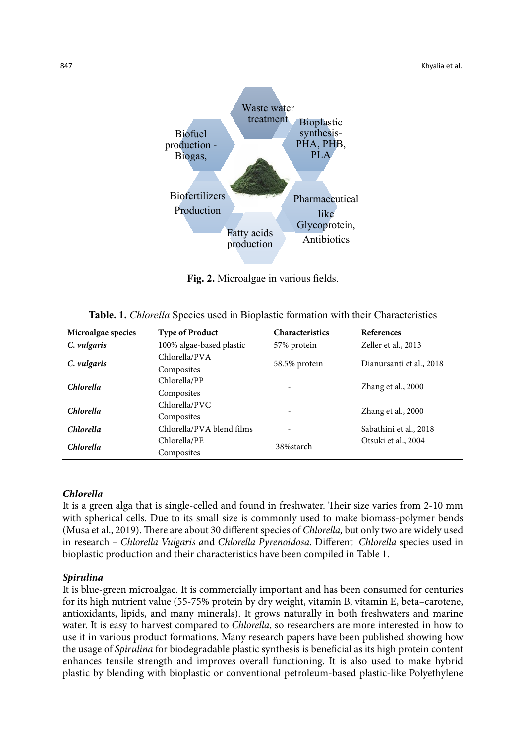

**Fig 2.** Microalgae in various fields. **Fig. 2.** Microalgae in various fields.

**Table.1:***Chlorella* Species used in Bioplastic formation with their Characteristics **Table. 1.** *Chlorella* Species used in Bioplastic formation with their Characteristics

| Microalgae species | <b>Type of Product</b>    | <b>Characteristics</b>   | References               |  |
|--------------------|---------------------------|--------------------------|--------------------------|--|
| C. vulgaris        | 100% algae-based plastic  | 57% protein              | Zeller et al., 2013      |  |
|                    | Chlorella/PVA             |                          | Dianursanti et al., 2018 |  |
| C. vulgaris        | Composites                | 58.5% protein            |                          |  |
| <b>Chlorella</b>   | Chlorella/PP              |                          | Zhang et al., 2000       |  |
|                    | Composites                | $\overline{\phantom{a}}$ |                          |  |
| <b>Chlorella</b>   | Chlorella/PVC             |                          | Zhang et al., 2000       |  |
|                    | Composites                | ٠                        |                          |  |
| <b>Chlorella</b>   | Chlorella/PVA blend films | $\overline{\phantom{m}}$ | Sabathini et al., 2018   |  |
| <b>Chlorella</b>   | Chlorella/PE              | 38%starch                | Otsuki et al., 2004      |  |
|                    | Composites                |                          |                          |  |

#### *Chlorella*

It is a green alga that is single-celled and found in freshwater. Their size varies from 2-10 mm with spherical cells. Due to its small size is commonly used to make biomass-polymer bends (Musa et al., 2019). There are about 30 different species of *Chlorella,* but only two are widely used in research *– Chlorella Vulgaris a*nd *Chlorella Pyrenoidosa*. Different *Chlorella* species used in bioplastic production and their characteristics have been compiled in Table 1.

#### *Spirulina*

It is blue-green microalgae. It is commercially important and has been consumed for centuries for its high nutrient value (55-75% protein by dry weight, vitamin B, vitamin E, beta–carotene, antioxidants, lipids, and many minerals). It grows naturally in both freshwaters and marine water. It is easy to harvest compared to *Chlorella*, so researchers are more interested in how to use it in various product formations. Many research papers have been published showing how the usage of *Spirulina* for biodegradable plastic synthesis is beneficial as its high protein content enhances tensile strength and improves overall functioning. It is also used to make hybrid plastic by blending with bioplastic or conventional petroleum-based plastic-like Polyethylene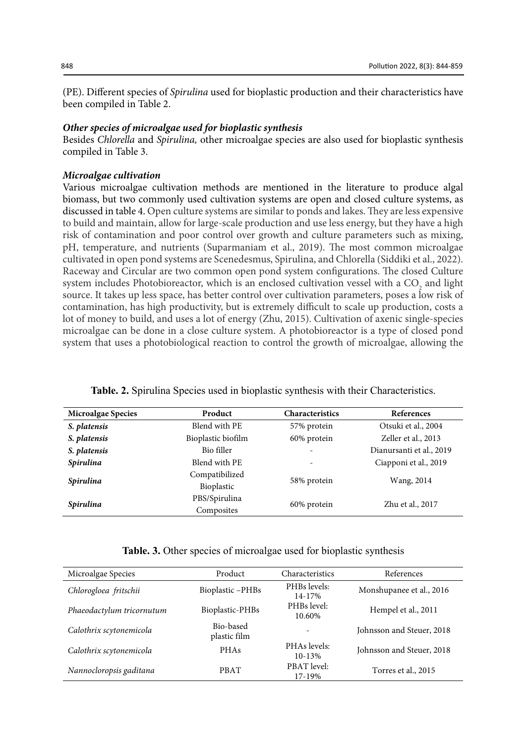(PE). Different species of *Spirulina* used for bioplastic production and their characteristics have been compiled in Table 2.

#### *Other species of microalgae used for bioplastic synthesis*

Besides *Chlorella* and *Spirulina,* other microalgae species are also used for bioplastic synthesis compiled in Table 3.

#### *Microalgae cultivation*

Various microalgae cultivation methods are mentioned in the literature to produce algal biomass, but two commonly used cultivation systems are open and closed culture systems, as discussed in table 4. Open culture systems are similar to ponds and lakes. They are less expensive to build and maintain, allow for large-scale production and use less energy, but they have a high risk of contamination and poor control over growth and culture parameters such as mixing, pH, temperature, and nutrients (Suparmaniam et al., 2019). The most common microalgae cultivated in open pond systems are Scenedesmus, Spirulina, and Chlorella (Siddiki et al., 2022). Raceway and Circular are two common open pond system configurations. The closed Culture system includes Photobioreactor, which is an enclosed cultivation vessel with a  $CO_2$  and light source. It takes up less space, has better control over cultivation parameters, poses a low risk of contamination, has high productivity, but is extremely difficult to scale up production, costs a lot of money to build, and uses a lot of energy (Zhu, 2015). Cultivation of axenic single-species microalgae can be done in a close culture system. A photobioreactor is a type of closed pond system that uses a photobiological reaction to control the growth of microalgae, allowing the

| <b>Microalgae Species</b> | Product            | <b>Characteristics</b>   | References               |  |
|---------------------------|--------------------|--------------------------|--------------------------|--|
| S. platensis              | Blend with PE      | 57% protein              | Otsuki et al., 2004      |  |
| S. platensis              | Bioplastic biofilm | 60% protein              | Zeller et al., 2013      |  |
| S. platensis              | Bio filler         | $\overline{\phantom{a}}$ | Dianursanti et al., 2019 |  |
| <b>Spirulina</b>          | Blend with PE      | $\overline{\phantom{a}}$ | Ciapponi et al., 2019    |  |
|                           | Compatibilized     |                          |                          |  |
| <b>Spirulina</b>          | Bioplastic         | 58% protein              | Wang, 2014               |  |
|                           | PBS/Spirulina      | 60% protein              | Zhu et al., 2017         |  |
| Spirulina                 | Composites         |                          |                          |  |

|  |  |  | <b>Table. 2.</b> Spirulina Species used in bioplastic synthesis with their Characteristics. |
|--|--|--|---------------------------------------------------------------------------------------------|
|--|--|--|---------------------------------------------------------------------------------------------|

**Table. 3.** Other species of microalgae used for bioplastic synthesis

| Microalgae Species        | Product                   | Characteristics              | References                |
|---------------------------|---------------------------|------------------------------|---------------------------|
| Chlorogloea fritschii     | Bioplastic-PHBs           | PHBs levels:<br>14-17%       | Monshupanee et al., 2016  |
| Phaeodactylum tricornutum | Bioplastic-PHBs           | PHBs level:<br>10.60%        | Hempel et al., 2011       |
| Calothrix scytonemicola   | Bio-based<br>plastic film |                              | Johnsson and Steuer, 2018 |
| Calothrix scytonemicola   | <b>PHAs</b>               | PHAs levels:<br>$10 - 13%$   | Johnsson and Steuer, 2018 |
| Nannocloropsis gaditana   | <b>PBAT</b>               | <b>PBAT</b> level:<br>17-19% | Torres et al., 2015       |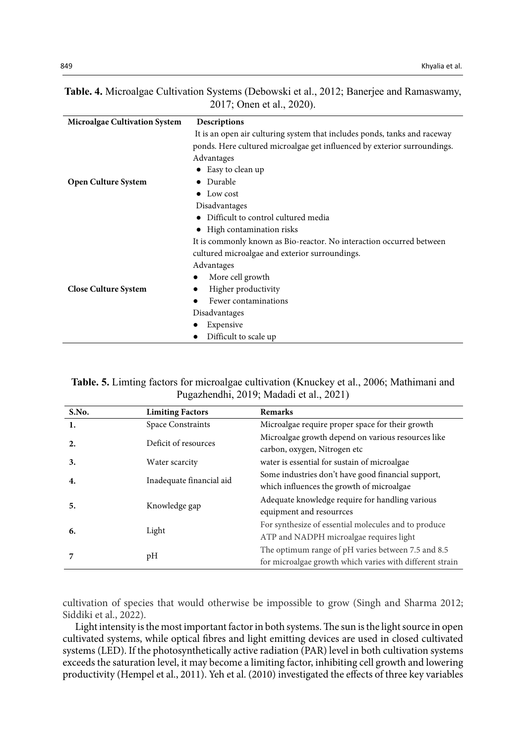| Table. 4. Microalgae Cultivation Systems (Debowski et al., 2012; Banerjee and Ramaswamy, |  |
|------------------------------------------------------------------------------------------|--|
| 2017; Onen et al., 2020).                                                                |  |

| <b>Microalgae Cultivation System</b> | Descriptions                                                              |
|--------------------------------------|---------------------------------------------------------------------------|
|                                      | It is an open air culturing system that includes ponds, tanks and raceway |
|                                      | ponds. Here cultured microalgae get influenced by exterior surroundings.  |
|                                      | Advantages                                                                |
|                                      | • Easy to clean up                                                        |
| <b>Open Culture System</b>           | Durable                                                                   |
|                                      | Low cost                                                                  |
|                                      | Disadvantages                                                             |
|                                      | Difficult to control cultured media                                       |
|                                      | High contamination risks                                                  |
|                                      | It is commonly known as Bio-reactor. No interaction occurred between      |
|                                      | cultured microalgae and exterior surroundings.                            |
|                                      | Advantages                                                                |
|                                      | More cell growth<br>٠                                                     |
| <b>Close Culture System</b>          | Higher productivity                                                       |
|                                      | Fewer contaminations                                                      |
|                                      | Disadvantages                                                             |
|                                      | Expensive                                                                 |
|                                      | Difficult to scale up                                                     |

| <b>Table. 5.</b> Liming factors for microalgae cultivation (Knuckey et al., 2006; Mathimani and |  |
|-------------------------------------------------------------------------------------------------|--|
| Pugazhendhi, 2019; Madadi et al., 2021)                                                         |  |

| S.No. | <b>Limiting Factors</b>  | <b>Remarks</b>                                                                                                 |
|-------|--------------------------|----------------------------------------------------------------------------------------------------------------|
|       | <b>Space Constraints</b> | Microalgae require proper space for their growth                                                               |
| 2.    | Deficit of resources     | Microalgae growth depend on various resources like<br>carbon, oxygen, Nitrogen etc                             |
| 3.    | Water scarcity           | water is essential for sustain of microalgae                                                                   |
| 4.    | Inadequate financial aid | Some industries don't have good financial support,<br>which influences the growth of microalgae                |
| 5.    | Knowledge gap            | Adequate knowledge require for handling various<br>equipment and resourrces                                    |
| 6.    | Light                    | For synthesize of essential molecules and to produce<br>ATP and NADPH microalgae requires light                |
|       | pH                       | The optimum range of pH varies between 7.5 and 8.5<br>for microalgae growth which varies with different strain |

cultivation of species that would otherwise be impossible to grow (Singh and Sharma 2012; Siddiki et al., 2022).

Light intensity is the most important factor in both systems. The sun is the light source in open cultivated systems, while optical fibres and light emitting devices are used in closed cultivated systems (LED). If the photosynthetically active radiation (PAR) level in both cultivation systems exceeds the saturation level, it may become a limiting factor, inhibiting cell growth and lowering productivity (Hempel et al., 2011). Yeh et al. (2010) investigated the effects of three key variables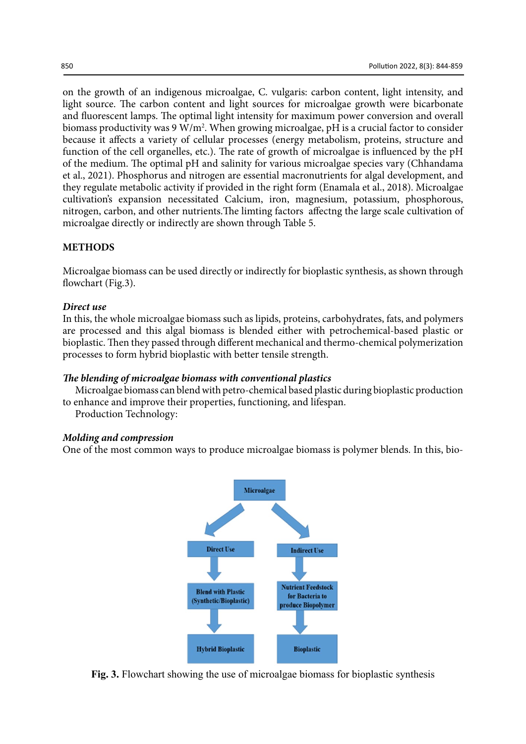on the growth of an indigenous microalgae, C. vulgaris: carbon content, light intensity, and light source. The carbon content and light sources for microalgae growth were bicarbonate and fluorescent lamps. The optimal light intensity for maximum power conversion and overall biomass productivity was 9 W/m<sup>2</sup>. When growing microalgae, pH is a crucial factor to consider because it affects a variety of cellular processes (energy metabolism, proteins, structure and function of the cell organelles, etc.). The rate of growth of microalgae is influenced by the pH of the medium. The optimal pH and salinity for various microalgae species vary (Chhandama et al., 2021). Phosphorus and nitrogen are essential macronutrients for algal development, and they regulate metabolic activity if provided in the right form (Enamala et al., 2018). Microalgae cultivation's expansion necessitated Calcium, iron, magnesium, potassium, phosphorous, nitrogen, carbon, and other nutrients.The limting factors affectng the large scale cultivation of microalgae directly or indirectly are shown through Table 5.

## **METHODS**

Microalgae biomass can be used directly or indirectly for bioplastic synthesis, as shown through flowchart (Fig.3).

#### *Direct use*

In this, the whole microalgae biomass such as lipids, proteins, carbohydrates, fats, and polymers are processed and this algal biomass is blended either with petrochemical-based plastic or bioplastic. Then they passed through different mechanical and thermo-chemical polymerization processes to form hybrid bioplastic with better tensile strength.

#### *The blending of microalgae biomass with conventional plastics*

Microalgae biomass can blend with petro-chemical based plastic during bioplastic production to enhance and improve their properties, functioning, and lifespan.

Production Technology:

#### *Molding and compression*

One of the most common ways to produce microalgae biomass is polymer blends. In this, bio-



**Fig. 3.** Flowchart showing the use of microalgae biomass for bioplastic synthesis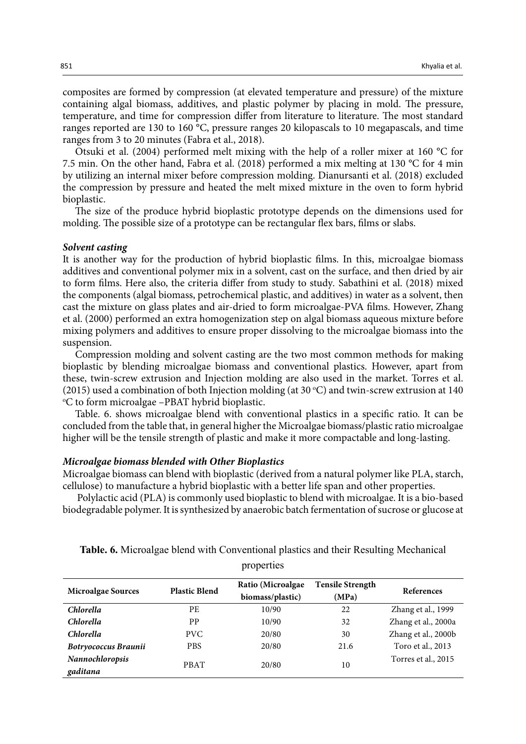composites are formed by compression (at elevated temperature and pressure) of the mixture containing algal biomass, additives, and plastic polymer by placing in mold. The pressure, temperature, and time for compression differ from literature to literature. The most standard ranges reported are 130 to 160 °C, pressure ranges 20 kilopascals to 10 megapascals, and time ranges from 3 to 20 minutes (Fabra et al., 2018).

Otsuki et al. (2004) performed melt mixing with the help of a roller mixer at 160 °C for 7.5 min. On the other hand, Fabra et al. (2018) performed a mix melting at 130 °C for 4 min by utilizing an internal mixer before compression molding. Dianursanti et al. (2018) excluded the compression by pressure and heated the melt mixed mixture in the oven to form hybrid bioplastic.

The size of the produce hybrid bioplastic prototype depends on the dimensions used for molding. The possible size of a prototype can be rectangular flex bars, films or slabs.

#### *Solvent casting*

It is another way for the production of hybrid bioplastic films. In this, microalgae biomass additives and conventional polymer mix in a solvent, cast on the surface, and then dried by air to form films. Here also, the criteria differ from study to study*.* Sabathini et al. (2018) mixed the components (algal biomass, petrochemical plastic, and additives) in water as a solvent, then cast the mixture on glass plates and air-dried to form microalgae-PVA films. However, Zhang et al. (2000) performed an extra homogenization step on algal biomass aqueous mixture before mixing polymers and additives to ensure proper dissolving to the microalgae biomass into the suspension.

Compression molding and solvent casting are the two most common methods for making bioplastic by blending microalgae biomass and conventional plastics. However, apart from these, twin-screw extrusion and Injection molding are also used in the market. Torres et al. (2015) used a combination of both Injection molding (at 30 °C) and twin-screw extrusion at 140<br>°C to form microalgae –PBAT hybrid bioplastic C to form microalgae –PBAT hybrid bioplastic.

Table. 6. shows microalgae blend with conventional plastics in a specific ratio. It can be concluded from the table that, in general higher the Microalgae biomass/plastic ratio microalgae higher will be the tensile strength of plastic and make it more compactable and long-lasting.

#### *Microalgae biomass blended with Other Bioplastics*

Microalgae biomass can blend with bioplastic (derived from a natural polymer like PLA, starch, cellulose) to manufacture a hybrid bioplastic with a better life span and other properties.

 Polylactic acid (PLA) is commonly used bioplastic to blend with microalgae. It is a bio-based biodegradable polymer. It is synthesized by anaerobic batch fermentation of sucrose or glucose at

| <b>Microalgae Sources</b>   | <b>Plastic Blend</b> | Ratio (Microalgae)<br>biomass/plastic) | <b>Tensile Strength</b><br>(MPa) | References          |
|-----------------------------|----------------------|----------------------------------------|----------------------------------|---------------------|
| <i>Chlorella</i>            | PE                   | 10/90                                  | 22                               | Zhang et al., 1999  |
| <i>Chlorella</i>            | PP                   | 10/90                                  | 32                               | Zhang et al., 2000a |
| <b>Chlorella</b>            | PVC                  | 20/80                                  | 30                               | Zhang et al., 2000b |
| Botryococcus Braunii        | <b>PBS</b>           | 20/80                                  | 21.6                             | Toro et al., 2013   |
| Nannochloropsis<br>gaditana | <b>PBAT</b>          | 20/80                                  | 10                               | Torres et al., 2015 |

**Table.6:** Microalgae blend with Conventional plastics and their Resulting Mechanical properties **Table. 6.** Microalgae blend with Conventional plastics and their Resulting Mechanical properties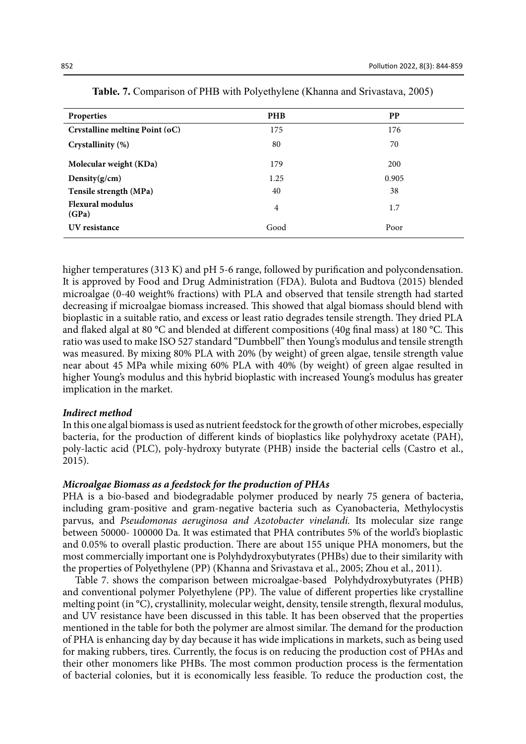| Properties                       | <b>PHB</b>     | <b>PP</b> |
|----------------------------------|----------------|-----------|
| Crystalline melting Point (oC)   | 175            | 176       |
| Crystallinity (%)                | 80             | 70        |
| Molecular weight (KDa)           | 179            | 200       |
| Density $(g/cm)$                 | 1.25           | 0.905     |
| Tensile strength (MPa)           | 40             | 38        |
| <b>Flexural modulus</b><br>(GPa) | $\overline{4}$ | 1.7       |
| UV resistance                    | Good           | Poor      |

|  |  | <b>Table. 7.</b> Comparison of PHB with Polyethylene (Khanna and Srivastava, 2005) |  |
|--|--|------------------------------------------------------------------------------------|--|
|  |  |                                                                                    |  |

higher temperatures (313 K) and pH 5-6 range, followed by purification and polycondensation. It is approved by Food and Drug Administration (FDA). Bulota and Budtova (2015) blended microalgae (0-40 weight% fractions) with PLA and observed that tensile strength had started decreasing if microalgae biomass increased. This showed that algal biomass should blend with bioplastic in a suitable ratio, and excess or least ratio degrades tensile strength. They dried PLA and flaked algal at 80 °C and blended at different compositions (40g final mass) at 180 °C. This ratio was used to make ISO 527 standard "Dumbbell" then Young's modulus and tensile strength was measured. By mixing 80% PLA with 20% (by weight) of green algae, tensile strength value near about 45 MPa while mixing 60% PLA with 40% (by weight) of green algae resulted in higher Young's modulus and this hybrid bioplastic with increased Young's modulus has greater implication in the market.

#### *Indirect method*

In this one algal biomass is used as nutrient feedstock for the growth of other microbes, especially bacteria, for the production of different kinds of bioplastics like polyhydroxy acetate (PAH), poly-lactic acid (PLC), poly-hydroxy butyrate (PHB) inside the bacterial cells (Castro et al., 2015).

#### *Microalgae Biomass as a feedstock for the production of PHAs*

PHA is a bio-based and biodegradable polymer produced by nearly 75 genera of bacteria, including gram-positive and gram-negative bacteria such as Cyanobacteria, Methylocystis parvus, and *Pseudomonas aeruginosa and Azotobacter vinelandi.* Its molecular size range between 50000- 100000 Da. It was estimated that PHA contributes 5% of the world's bioplastic and 0.05% to overall plastic production. There are about 155 unique PHA monomers, but the most commercially important one is Polyhdydroxybutyrates (PHBs) due to their similarity with the properties of Polyethylene (PP) (Khanna and Srivastava et al., 2005; Zhou et al., 2011).

Table 7. shows the comparison between microalgae-based Polyhdydroxybutyrates (PHB) and conventional polymer Polyethylene (PP). The value of different properties like crystalline melting point (in °C), crystallinity, molecular weight, density, tensile strength, flexural modulus, and UV resistance have been discussed in this table. It has been observed that the properties mentioned in the table for both the polymer are almost similar. The demand for the production of PHA is enhancing day by day because it has wide implications in markets, such as being used for making rubbers, tires. Currently, the focus is on reducing the production cost of PHAs and their other monomers like PHBs. The most common production process is the fermentation of bacterial colonies, but it is economically less feasible. To reduce the production cost, the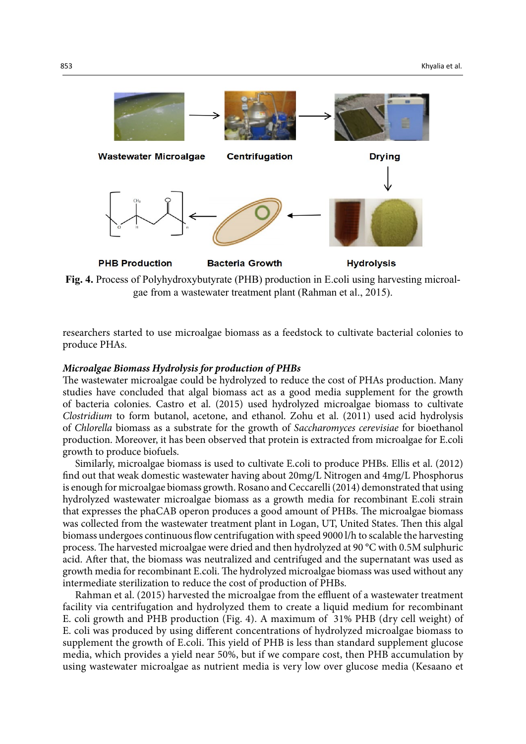

**Fig. 4.** Process of Polyhydroxybutyrate (PHB) production in E.coli using harvesting microalgae from a wastewater treatment plant (Rahman et al., 2015).

researchers started to use microalgae biomass as a feedstock to cultivate bacterial colonies to produce PHAs.

#### *Microalgae Biomass Hydrolysis for production of PHBs*

The wastewater microalgae could be hydrolyzed to reduce the cost of PHAs production. Many studies have concluded that algal biomass act as a good media supplement for the growth of bacteria colonies. Castro et al. (2015) used hydrolyzed microalgae biomass to cultivate *Clostridium* to form butanol, acetone, and ethanol. Zohu et al. (2011) used acid hydrolysis of *Chlorella* biomass as a substrate for the growth of *Saccharomyces cerevisiae* for bioethanol production. Moreover, it has been observed that protein is extracted from microalgae for E.coli growth to produce biofuels.

Similarly, microalgae biomass is used to cultivate E.coli to produce PHBs. Ellis et al. (2012) find out that weak domestic wastewater having about 20mg/L Nitrogen and 4mg/L Phosphorus is enough for microalgae biomass growth. Rosano and Ceccarelli (2014) demonstrated that using hydrolyzed wastewater microalgae biomass as a growth media for recombinant E.coli strain that expresses the phaCAB operon produces a good amount of PHBs. The microalgae biomass was collected from the wastewater treatment plant in Logan, UT, United States. Then this algal biomass undergoes continuous flow centrifugation with speed 9000 l/h to scalable the harvesting process. The harvested microalgae were dried and then hydrolyzed at 90 °C with 0.5M sulphuric acid. After that, the biomass was neutralized and centrifuged and the supernatant was used as growth media for recombinant E.coli. The hydrolyzed microalgae biomass was used without any intermediate sterilization to reduce the cost of production of PHBs.

Rahman et al. (2015) harvested the microalgae from the effluent of a wastewater treatment facility via centrifugation and hydrolyzed them to create a liquid medium for recombinant E. coli growth and PHB production (Fig. 4). A maximum of 31% PHB (dry cell weight) of E. coli was produced by using different concentrations of hydrolyzed microalgae biomass to supplement the growth of E.coli. This yield of PHB is less than standard supplement glucose media, which provides a yield near 50%, but if we compare cost, then PHB accumulation by using wastewater microalgae as nutrient media is very low over glucose media (Kesaano et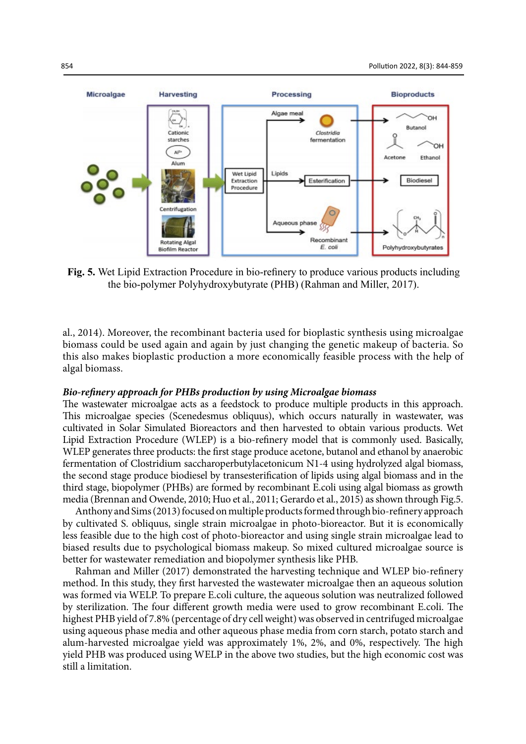

**Fig. 5.** Wet Lipid Extraction Procedure in bio-refinery to produce various products including the bio-polymer Polyhydroxybutyrate (PHB) (Rahman and Miller, 2017).

al., 2014). Moreover, the recombinant bacteria used for bioplastic synthesis using microalgae biomass could be used again and again by just changing the genetic makeup of bacteria. So this also makes bioplastic production a more economically feasible process with the help of algal biomass.

#### *Bio-refinery approach for PHBs production by using Microalgae biomass*

The wastewater microalgae acts as a feedstock to produce multiple products in this approach. This microalgae species (Scenedesmus obliquus), which occurs naturally in wastewater, was cultivated in Solar Simulated Bioreactors and then harvested to obtain various products. Wet Lipid Extraction Procedure (WLEP) is a bio-refinery model that is commonly used. Basically, WLEP generates three products: the first stage produce acetone, butanol and ethanol by anaerobic fermentation of Clostridium saccharoperbutylacetonicum N1-4 using hydrolyzed algal biomass, the second stage produce biodiesel by transesterification of lipids using algal biomass and in the third stage, biopolymer (PHBs) are formed by recombinant E.coli using algal biomass as growth media (Brennan and Owende, 2010; Huo et al., 2011; Gerardo et al., 2015) as shown through Fig.5.

Anthony and Sims (2013) focused on multiple products formed through bio-refinery approach by cultivated S. obliquus, single strain microalgae in photo-bioreactor. But it is economically less feasible due to the high cost of photo-bioreactor and using single strain microalgae lead to biased results due to psychological biomass makeup. So mixed cultured microalgae source is better for wastewater remediation and biopolymer synthesis like PHB.

Rahman and Miller (2017) demonstrated the harvesting technique and WLEP bio-refinery method. In this study, they first harvested the wastewater microalgae then an aqueous solution was formed via WELP. To prepare E.coli culture, the aqueous solution was neutralized followed by sterilization. The four different growth media were used to grow recombinant E.coli. The highest PHB yield of 7.8% (percentage of dry cell weight) was observed in centrifuged microalgae using aqueous phase media and other aqueous phase media from corn starch, potato starch and alum-harvested microalgae yield was approximately 1%, 2%, and 0%, respectively. The high yield PHB was produced using WELP in the above two studies, but the high economic cost was still a limitation.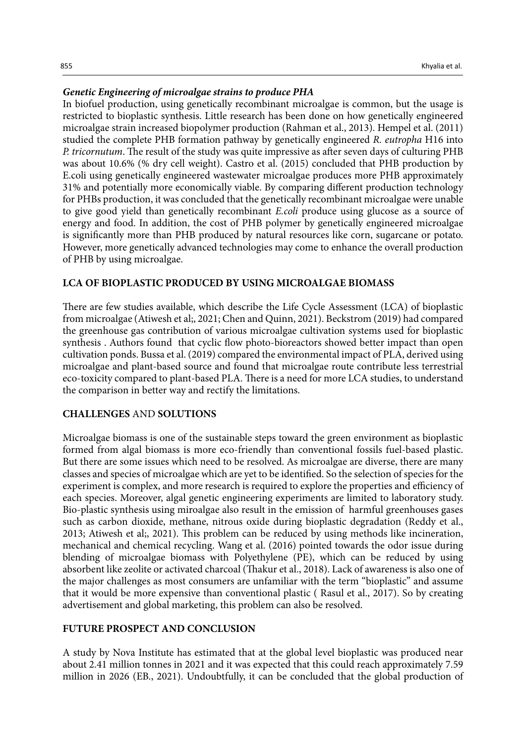## *Genetic Engineering of microalgae strains to produce PHA*

In biofuel production, using genetically recombinant microalgae is common, but the usage is restricted to bioplastic synthesis. Little research has been done on how genetically engineered microalgae strain increased biopolymer production (Rahman et al., 2013). Hempel et al. (2011) studied the complete PHB formation pathway by genetically engineered *R. eutropha* H16 into *P. tricornutum*. The result of the study was quite impressive as after seven days of culturing PHB was about 10.6% (% dry cell weight). Castro et al. (2015) concluded that PHB production by E.coli using genetically engineered wastewater microalgae produces more PHB approximately 31% and potentially more economically viable. By comparing different production technology for PHBs production, it was concluded that the genetically recombinant microalgae were unable to give good yield than genetically recombinant *E.coli* produce using glucose as a source of energy and food. In addition, the cost of PHB polymer by genetically engineered microalgae is significantly more than PHB produced by natural resources like corn, sugarcane or potato. However, more genetically advanced technologies may come to enhance the overall production of PHB by using microalgae.

#### **LCA OF BIOPLASTIC PRODUCED BY USING MICROALGAE BIOMASS**

There are few studies available, which describe the Life Cycle Assessment (LCA) of bioplastic from microalgae (Atiwesh et al;, 2021; Chen and Quinn, 2021). Beckstrom (2019) had compared the greenhouse gas contribution of various microalgae cultivation systems used for bioplastic synthesis . Authors found that cyclic flow photo-bioreactors showed better impact than open cultivation ponds. Bussa et al. (2019) compared the environmental impact of PLA, derived using microalgae and plant-based source and found that microalgae route contribute less terrestrial eco-toxicity compared to plant-based PLA. There is a need for more LCA studies, to understand the comparison in better way and rectify the limitations.

## **CHALLENGES** AND **SOLUTIONS**

Microalgae biomass is one of the sustainable steps toward the green environment as bioplastic formed from algal biomass is more eco-friendly than conventional fossils fuel-based plastic. But there are some issues which need to be resolved. As microalgae are diverse, there are many classes and species of microalgae which are yet to be identified. So the selection of species for the experiment is complex, and more research is required to explore the properties and efficiency of each species. Moreover, algal genetic engineering experiments are limited to laboratory study. Bio-plastic synthesis using miroalgae also result in the emission of harmful greenhouses gases such as carbon dioxide, methane, nitrous oxide during bioplastic degradation (Reddy et al., 2013; Atiwesh et al;, 2021). This problem can be reduced by using methods like incineration, mechanical and chemical recycling. Wang et al. (2016) pointed towards the odor issue during blending of microalgae biomass with Polyethylene (PE), which can be reduced by using absorbent like zeolite or activated charcoal (Thakur et al., 2018). Lack of awareness is also one of the major challenges as most consumers are unfamiliar with the term "bioplastic" and assume that it would be more expensive than conventional plastic ( Rasul et al., 2017). So by creating advertisement and global marketing, this problem can also be resolved.

#### **FUTURE PROSPECT AND CONCLUSION**

A study by Nova Institute has estimated that at the global level bioplastic was produced near about 2.41 million tonnes in 2021 and it was expected that this could reach approximately 7.59 million in 2026 (EB., 2021). Undoubtfully, it can be concluded that the global production of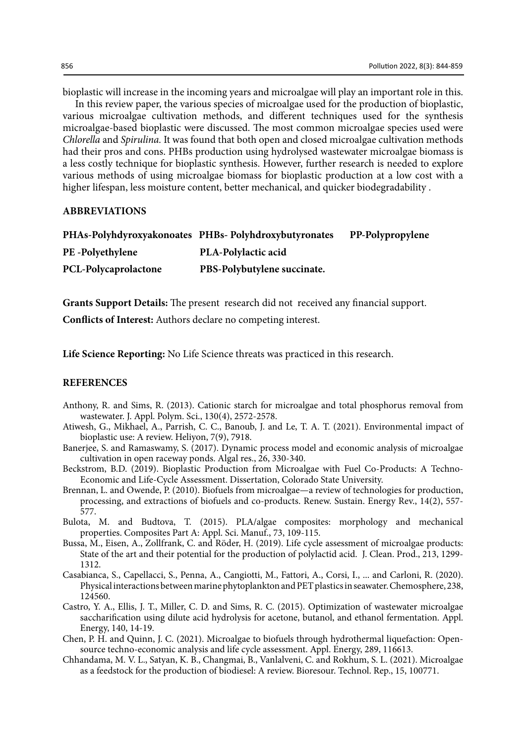bioplastic will increase in the incoming years and microalgae will play an important role in this. In this review paper, the various species of microalgae used for the production of bioplastic, various microalgae cultivation methods, and different techniques used for the synthesis microalgae-based bioplastic were discussed. The most common microalgae species used were *Chlorella* and *Spirulina.* It was found that both open and closed microalgae cultivation methods had their pros and cons. PHBs production using hydrolysed wastewater microalgae biomass is a less costly technique for bioplastic synthesis. However, further research is needed to explore various methods of using microalgae biomass for bioplastic production at a low cost with a higher lifespan, less moisture content, better mechanical, and quicker biodegradability .

#### **ABBREVIATIONS**

|                             | PHAs-Polyhdyroxyakonoates PHBs-Polyhdroxybutyronates | PP-Polypropylene |
|-----------------------------|------------------------------------------------------|------------------|
| <b>PE</b> -Polyethylene     | <b>PLA-Polylactic acid</b>                           |                  |
| <b>PCL-Polycaprolactone</b> | PBS-Polybutylene succinate.                          |                  |

**Grants Support Details:** The present research did not received any financial support.

**Conflicts of Interest:** Authors declare no competing interest.

**Life Science Reporting:** No Life Science threats was practiced in this research.

## **REFERENCES**

- Anthony, R. and Sims, R. (2013). Cationic starch for microalgae and total phosphorus removal from wastewater. J. Appl. Polym. Sci., 130(4), 2572-2578.
- Atiwesh, G., Mikhael, A., Parrish, C. C., Banoub, J. and Le, T. A. T. (2021). Environmental impact of bioplastic use: A review. Heliyon, 7(9), 7918.
- Banerjee, S. and Ramaswamy, S. (2017). Dynamic process model and economic analysis of microalgae cultivation in open raceway ponds. Algal res., 26, 330-340.
- Beckstrom, B.D. (2019). Bioplastic Production from Microalgae with Fuel Co-Products: A Techno-Economic and Life-Cycle Assessment. Dissertation, Colorado State University.
- Brennan, L. and Owende, P. (2010). Biofuels from microalgae—a review of technologies for production, processing, and extractions of biofuels and co-products. Renew. Sustain. Energy Rev., 14(2), 557- 577.
- Bulota, M. and Budtova, T. (2015). PLA/algae composites: morphology and mechanical properties. Composites Part A: Appl. Sci. Manuf., 73, 109-115.
- Bussa, M., Eisen, A., Zollfrank, C. and Röder, H. (2019). Life cycle assessment of microalgae products: State of the art and their potential for the production of polylactid acid. J. Clean. Prod., 213, 1299- 1312.
- Casabianca, S., Capellacci, S., Penna, A., Cangiotti, M., Fattori, A., Corsi, I., ... and Carloni, R. (2020). Physical interactions between marine phytoplankton and PET plastics in seawater. Chemosphere, 238, 124560.
- Castro, Y. A., Ellis, J. T., Miller, C. D. and Sims, R. C. (2015). Optimization of wastewater microalgae saccharification using dilute acid hydrolysis for acetone, butanol, and ethanol fermentation. Appl. Energy, 140, 14-19.
- Chen, P. H. and Quinn, J. C. (2021). Microalgae to biofuels through hydrothermal liquefaction: Opensource techno-economic analysis and life cycle assessment. Appl. Energy, 289, 116613.
- Chhandama, M. V. L., Satyan, K. B., Changmai, B., Vanlalveni, C. and Rokhum, S. L. (2021). Microalgae as a feedstock for the production of biodiesel: A review. Bioresour. Technol. Rep., 15, 100771.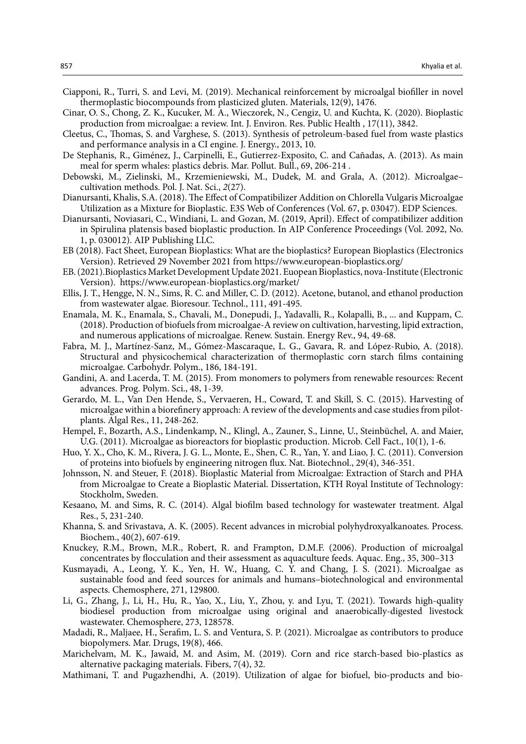- Ciapponi, R., Turri, S. and Levi, M. (2019). Mechanical reinforcement by microalgal biofiller in novel thermoplastic biocompounds from plasticized gluten. Materials, 12(9), 1476.
- Cinar, O. S., Chong, Z. K., Kucuker, M. A., Wieczorek, N., Cengiz, U. and Kuchta, K. (2020). Bioplastic production from microalgae: a review. Int. J. Environ. Res. Public Health , 17(11), 3842.
- Cleetus, C., Thomas, S. and Varghese, S. (2013). Synthesis of petroleum-based fuel from waste plastics and performance analysis in a CI engine. J. Energy., 2013, 10.
- De Stephanis, R., Giménez, J., Carpinelli, E., Gutierrez-Exposito, C. and Cañadas, A. (2013). As main meal for sperm whales: plastics debris. Mar. Pollut. Bull., 69, 206-214 .
- Debowski, M., Zielinski, M., Krzemieniewski, M., Dudek, M. and Grala, A. (2012). Microalgae– cultivation methods. Pol. J. Nat. Sci., *2*(27).
- Dianursanti, Khalis, S.A. (2018). The Effect of Compatibilizer Addition on Chlorella Vulgaris Microalgae Utilization as a Mixture for Bioplastic. E3S Web of Conferences (Vol. 67, p. 03047). EDP Sciences.
- Dianursanti, Noviasari, C., Windiani, L. and Gozan, M. (2019, April). Effect of compatibilizer addition in Spirulina platensis based bioplastic production. In AIP Conference Proceedings (Vol. 2092, No. 1, p. 030012). AIP Publishing LLC.
- EB (2018). Fact Sheet, European Bioplastics: What are the bioplastics? European Bioplastics (Electronics Version). Retrieved 29 November 2021 from https://www.european-bioplastics.org/
- EB. (2021).Bioplastics Market Development Update 2021. Euopean Bioplastics, nova-Institute (Electronic Version). https://www.european-bioplastics.org/market/
- Ellis, J. T., Hengge, N. N., Sims, R. C. and Miller, C. D. (2012). Acetone, butanol, and ethanol production from wastewater algae. Bioresour. Technol., 111, 491-495.
- Enamala, M. K., Enamala, S., Chavali, M., Donepudi, J., Yadavalli, R., Kolapalli, B., ... and Kuppam, C. (2018). Production of biofuels from microalgae-A review on cultivation, harvesting, lipid extraction, and numerous applications of microalgae. Renew. Sustain. Energy Rev., 94, 49-68.
- Fabra, M. J., Martínez-Sanz, M., Gómez-Mascaraque, L. G., Gavara, R. and López-Rubio, A. (2018). Structural and physicochemical characterization of thermoplastic corn starch films containing microalgae. Carbohydr. Polym., 186, 184-191.
- Gandini, A. and Lacerda, T. M. (2015). From monomers to polymers from renewable resources: Recent advances. Prog. Polym. Sci., 48, 1-39.
- Gerardo, M. L., Van Den Hende, S., Vervaeren, H., Coward, T. and Skill, S. C. (2015). Harvesting of microalgae within a biorefinery approach: A review of the developments and case studies from pilotplants. Algal Res., 11, 248-262.
- Hempel, F., Bozarth, A.S., Lindenkamp, N., Klingl, A., Zauner, S., Linne, U., Steinbüchel, A. and Maier, U.G. (2011). Microalgae as bioreactors for bioplastic production. Microb. Cell Fact., 10(1), 1-6.
- Huo, Y. X., Cho, K. M., Rivera, J. G. L., Monte, E., Shen, C. R., Yan, Y. and Liao, J. C. (2011). Conversion of proteins into biofuels by engineering nitrogen flux. Nat. Biotechnol., 29(4), 346-351.
- Johnsson, N. and Steuer, F. (2018). Bioplastic Material from Microalgae: Extraction of Starch and PHA from Microalgae to Create a Bioplastic Material. Dissertation, KTH Royal Institute of Technology: Stockholm, Sweden.
- Kesaano, M. and Sims, R. C. (2014). Algal biofilm based technology for wastewater treatment. Algal Res., 5, 231-240.
- Khanna, S. and Srivastava, A. K. (2005). Recent advances in microbial polyhydroxyalkanoates. Process. Biochem., 40(2), 607-619.
- Knuckey, R.M., Brown, M.R., Robert, R. and Frampton, D.M.F. (2006). Production of microalgal concentrates by flocculation and their assessment as aquaculture feeds. Aquac. Eng., 35, 300–313
- Kusmayadi, A., Leong, Y. K., Yen, H. W., Huang, C. Y. and Chang, J. S. (2021). Microalgae as sustainable food and feed sources for animals and humans–biotechnological and environmental aspects. Chemosphere, 271, 129800.
- Li, G., Zhang, J., Li, H., Hu, R., Yao, X., Liu, Y., Zhou, y. and Lyu, T. (2021). Towards high-quality biodiesel production from microalgae using original and anaerobically-digested livestock wastewater. Chemosphere, 273, 128578.
- Madadi, R., Maljaee, H., Serafim, L. S. and Ventura, S. P. (2021). Microalgae as contributors to produce biopolymers. Mar. Drugs, 19(8), 466.
- Marichelvam, M. K., Jawaid, M. and Asim, M. (2019). Corn and rice starch-based bio-plastics as alternative packaging materials. Fibers, 7(4), 32.
- Mathimani, T. and Pugazhendhi, A. (2019). Utilization of algae for biofuel, bio-products and bio-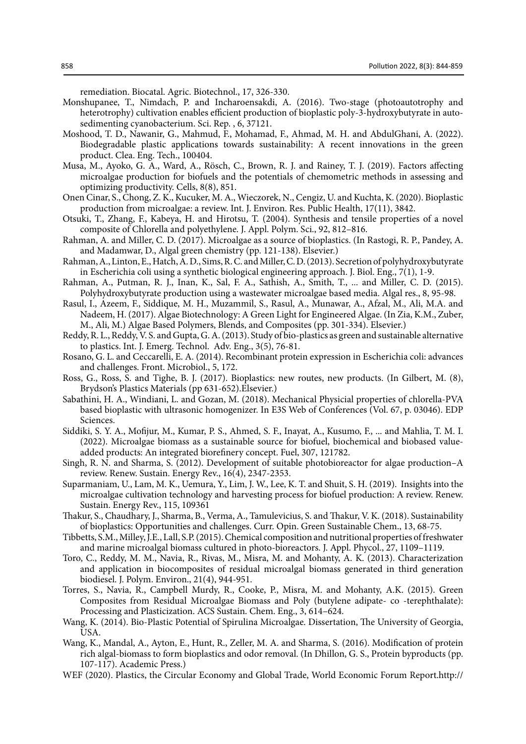remediation. Biocatal. Agric. Biotechnol., 17, 326-330.

- Monshupanee, T., Nimdach, P. and Incharoensakdi, A. (2016). Two-stage (photoautotrophy and heterotrophy) cultivation enables efficient production of bioplastic poly-3-hydroxybutyrate in autosedimenting cyanobacterium. Sci. Rep. , 6, 37121.
- Moshood, T. D., Nawanir, G., Mahmud, F., Mohamad, F., Ahmad, M. H. and AbdulGhani, A. (2022). Biodegradable plastic applications towards sustainability: A recent innovations in the green product. Clea. Eng. Tech., 100404.
- Musa, M., Ayoko, G. A., Ward, A., Rösch, C., Brown, R. J. and Rainey, T. J. (2019). Factors affecting microalgae production for biofuels and the potentials of chemometric methods in assessing and optimizing productivity. Cells, 8(8), 851.
- Onen Cinar, S., Chong, Z. K., Kucuker, M. A., Wieczorek, N., Cengiz, U. and Kuchta, K. (2020). Bioplastic production from microalgae: a review. Int. J. Environ. Res. Public Health, 17(11), 3842.
- Otsuki, T., Zhang, F., Kabeya, H. and Hirotsu, T. (2004). Synthesis and tensile properties of a novel composite of Chlorella and polyethylene. J. Appl. Polym. Sci., 92, 812–816.
- Rahman, A. and Miller, C. D. (2017). Microalgae as a source of bioplastics. (In Rastogi, R. P., Pandey, A. and Madamwar, D., Algal green chemistry (pp. 121-138). Elsevier.)
- Rahman, A., Linton, E., Hatch, A. D., Sims, R. C. and Miller, C. D. (2013). Secretion of polyhydroxybutyrate in Escherichia coli using a synthetic biological engineering approach. J. Biol. Eng., 7(1), 1-9.
- Rahman, A., Putman, R. J., Inan, K., Sal, F. A., Sathish, A., Smith, T., ... and Miller, C. D. (2015). Polyhydroxybutyrate production using a wastewater microalgae based media. Algal res., 8, 95-98.
- Rasul, I., Azeem, F., Siddique, M. H., Muzammil, S., Rasul, A., Munawar, A., Afzal, M., Ali, M.A. and Nadeem, H. (2017). Algae Biotechnology: A Green Light for Engineered Algae. (In Zia, K.M., Zuber, M., Ali, M.) Algae Based Polymers, Blends, and Composites (pp. 301-334). Elsevier.)
- Reddy, R. L., Reddy, V. S. and Gupta, G. A. (2013). Study of bio-plastics as green and sustainable alternative to plastics. Int. J. Emerg. Technol. Adv. Eng., 3(5), 76-81.
- Rosano, G. L. and Ceccarelli, E. A. (2014). Recombinant protein expression in Escherichia coli: advances and challenges. Front. Microbiol., 5, 172.
- Ross, G., Ross, S. and Tighe, B. J. (2017). Bioplastics: new routes, new products. (In Gilbert, M. (8), Brydson's Plastics Materials (pp 631-652).Elsevier.)
- Sabathini, H. A., Windiani, L. and Gozan, M. (2018). Mechanical Physicial properties of chlorella-PVA based bioplastic with ultrasonic homogenizer. In E3S Web of Conferences (Vol. 67, p. 03046). EDP Sciences.
- Siddiki, S. Y. A., Mofijur, M., Kumar, P. S., Ahmed, S. F., Inayat, A., Kusumo, F., ... and Mahlia, T. M. I. (2022). Microalgae biomass as a sustainable source for biofuel, biochemical and biobased valueadded products: An integrated biorefinery concept. Fuel, 307, 121782.
- Singh, R. N. and Sharma, S. (2012). Development of suitable photobioreactor for algae production–A review. Renew. Sustain. Energy Rev., 16(4), 2347-2353.
- Suparmaniam, U., Lam, M. K., Uemura, Y., Lim, J. W., Lee, K. T. and Shuit, S. H. (2019). Insights into the microalgae cultivation technology and harvesting process for biofuel production: A review. Renew. Sustain. Energy Rev., 115, 109361
- Thakur, S., Chaudhary, J., Sharma, B., Verma, A., Tamulevicius, S. and Thakur, V. K. (2018). Sustainability of bioplastics: Opportunities and challenges. Curr. Opin. Green Sustainable Chem., 13, 68-75.
- Tibbetts, S.M., Milley, J.E., Lall, S.P. (2015). Chemical composition and nutritional properties of freshwater and marine microalgal biomass cultured in photo-bioreactors. J. Appl. Phycol., 27, 1109–1119.
- Toro, C., Reddy, M. M., Navia, R., Rivas, M., Misra, M. and Mohanty, A. K. (2013). Characterization and application in biocomposites of residual microalgal biomass generated in third generation biodiesel. J. Polym. Environ., 21(4), 944-951.
- Torres, S., Navia, R., Campbell Murdy, R., Cooke, P., Misra, M. and Mohanty, A.K. (2015). Green Composites from Residual Microalgae Biomass and Poly (butylene adipate- co -terephthalate): Processing and Plasticization. ACS Sustain. Chem. Eng., 3, 614–624.
- Wang, K. (2014). Bio-Plastic Potential of Spirulina Microalgae. Dissertation, The University of Georgia, USA.
- Wang, K., Mandal, A., Ayton, E., Hunt, R., Zeller, M. A. and Sharma, S. (2016). Modification of protein rich algal-biomass to form bioplastics and odor removal. (In Dhillon, G. S., Protein byproducts (pp. 107-117). Academic Press.)
- WEF (2020). Plastics, the Circular Economy and Global Trade, World Economic Forum Report.http://